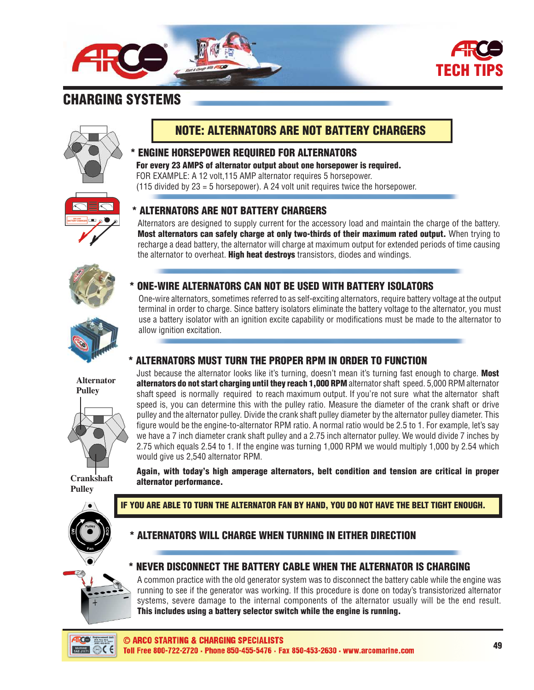

## CHARGING SYSTEMS



## NOTE: ALTERNATORS ARE NOT BATTERY CHARGERS

## \* ENGINE HORSEPOWER REQUIRED FOR ALTERNATORS

For every 23 AMPS of alternator output about one horsepower is required. FOR EXAMPLE: A 12 volt,115 AMP alternator requires 5 horsepower. (115 divided by 23 = 5 horsepower). A 24 volt unit requires twice the horsepower.



## \* ALTERNATORS ARE NOT BATTERY CHARGERS

Alternators are designed to supply current for the accessory load and maintain the charge of the battery. Most alternators can safely charge at only two-thirds of their maximum rated output. When trying to recharge a dead battery, the alternator will charge at maximum output for extended periods of time causing the alternator to overheat. **High heat destroys** transistors, diodes and windings.



**Alternator Pulley**

# ONE-WIRE ALTERNATORS CAN NOT BE USED WITH BATTERY ISOLATORS

One-wire alternators, sometimes referred to as self-exciting alternators, require battery voltage at the output terminal in order to charge. Since battery isolators eliminate the battery voltage to the alternator, you must use a battery isolator with an ignition excite capability or modifications must be made to the alternator to allow ignition excitation.

### \* ALTERNATORS MUST TURN THE PROPER RPM IN ORDER TO FUNCTION

Just because the alternator looks like it's turning, doesn't mean it's turning fast enough to charge. Most alternators do not start charging until they reach 1,000 RPM alternator shaft speed. 5,000 RPM alternator shaft speed is normally required to reach maximum output. If you're not sure what the alternator shaft speed is, you can determine this with the pulley ratio. Measure the diameter of the crank shaft or drive pulley and the alternator pulley. Divide the crank shaft pulley diameter by the alternator pulley diameter. This figure would be the engine-to-alternator RPM ratio. A normal ratio would be 2.5 to 1. For example, let's say we have a 7 inch diameter crank shaft pulley and a 2.75 inch alternator pulley. We would divide 7 inches by 2.75 which equals 2.54 to 1. If the engine was turning 1,000 RPM we would multiply 1,000 by 2.54 which would give us 2,540 alternator RPM.

Again, with today's high amperage alternators, belt condition and tension are critical in proper alternator performance.

**Crankshaft Pulley**



#### IF YOU ARE ABLE TO TURN THE ALTERNATOR FAN BY HAND, YOU DO NOT HAVE THE BELT TIGHT ENOUGH.

## ALTERNATORS WILL CHARGE WHEN TURNING IN EITHER DIRECTION

### \* NEVER DISCONNECT THE BATTERY CABLE WHEN THE ALTERNATOR IS CHARGING

A common practice with the old generator system was to disconnect the battery cable while the engine was running to see if the generator was working. If this procedure is done on today's transistorized alternator systems, severe damage to the internal components of the alternator usually will be the end result. This includes using a battery selector switch while the engine is running.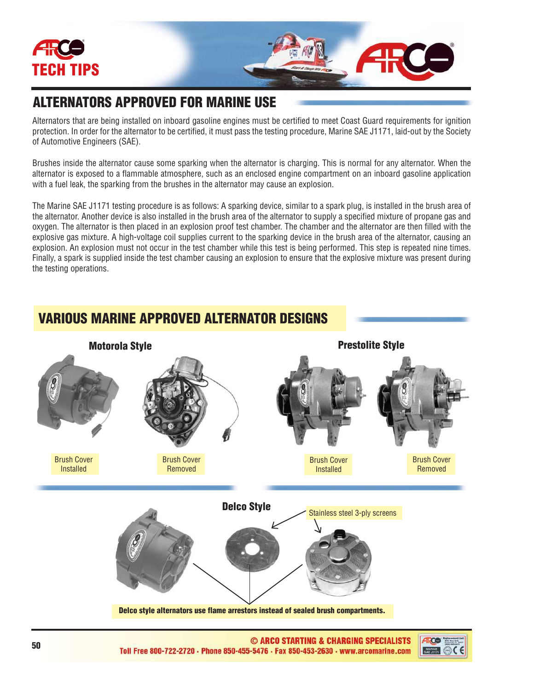

## ALTERNATORS APPROVED FOR MARINE USE

Alternators that are being installed on inboard gasoline engines must be certified to meet Coast Guard requirements for ignition protection. In order for the alternator to be certified, it must pass the testing procedure, Marine SAE J1171, laid-out by the Society of Automotive Engineers (SAE).

Brushes inside the alternator cause some sparking when the alternator is charging. This is normal for any alternator. When the alternator is exposed to a flammable atmosphere, such as an enclosed engine compartment on an inboard gasoline application with a fuel leak, the sparking from the brushes in the alternator may cause an explosion.

The Marine SAE J1171 testing procedure is as follows: A sparking device, similar to a spark plug, is installed in the brush area of the alternator. Another device is also installed in the brush area of the alternator to supply a specified mixture of propane gas and oxygen. The alternator is then placed in an explosion proof test chamber. The chamber and the alternator are then filled with the explosive gas mixture. A high-voltage coil supplies current to the sparking device in the brush area of the alternator, causing an explosion. An explosion must not occur in the test chamber while this test is being performed. This step is repeated nine times. Finally, a spark is supplied inside the test chamber causing an explosion to ensure that the explosive mixture was present during the testing operations.